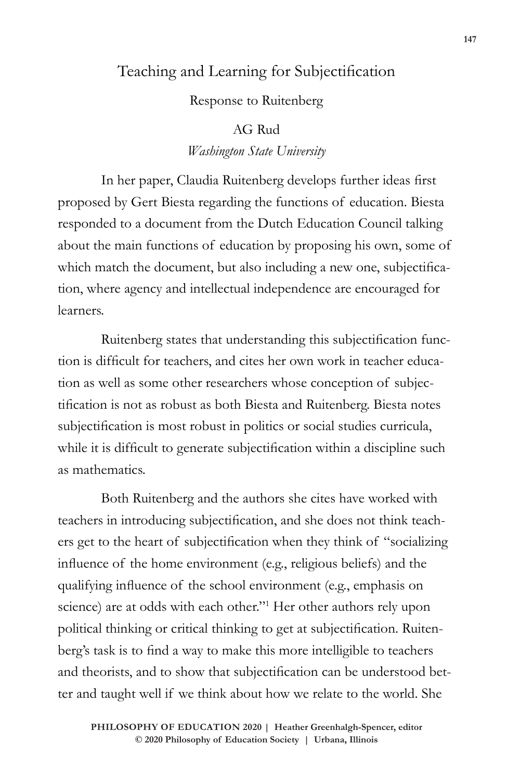## Teaching and Learning for Subjectification

Response to Ruitenberg

## AG Rud

*Washington State University*

In her paper, Claudia Ruitenberg develops further ideas first proposed by Gert Biesta regarding the functions of education. Biesta responded to a document from the Dutch Education Council talking about the main functions of education by proposing his own, some of which match the document, but also including a new one, subjectification, where agency and intellectual independence are encouraged for learners.

Ruitenberg states that understanding this subjectification function is difficult for teachers, and cites her own work in teacher education as well as some other researchers whose conception of subjectification is not as robust as both Biesta and Ruitenberg. Biesta notes subjectification is most robust in politics or social studies curricula, while it is difficult to generate subjectification within a discipline such as mathematics.

Both Ruitenberg and the authors she cites have worked with teachers in introducing subjectification, and she does not think teachers get to the heart of subjectification when they think of "socializing influence of the home environment (e.g., religious beliefs) and the qualifying influence of the school environment (e.g., emphasis on science) are at odds with each other."<sup>1</sup> Her other authors rely upon political thinking or critical thinking to get at subjectification. Ruitenberg's task is to find a way to make this more intelligible to teachers and theorists, and to show that subjectification can be understood better and taught well if we think about how we relate to the world. She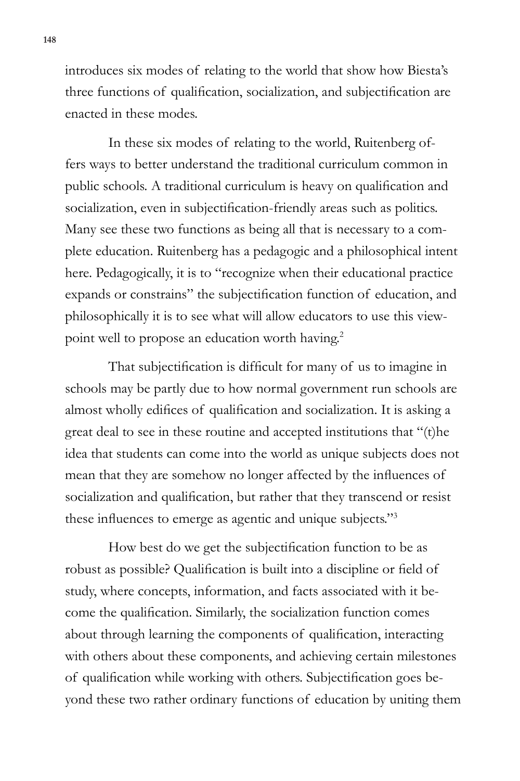introduces six modes of relating to the world that show how Biesta's three functions of qualification, socialization, and subjectification are enacted in these modes.

In these six modes of relating to the world, Ruitenberg offers ways to better understand the traditional curriculum common in public schools. A traditional curriculum is heavy on qualification and socialization, even in subjectification-friendly areas such as politics. Many see these two functions as being all that is necessary to a complete education. Ruitenberg has a pedagogic and a philosophical intent here. Pedagogically, it is to "recognize when their educational practice expands or constrains" the subjectification function of education, and philosophically it is to see what will allow educators to use this viewpoint well to propose an education worth having.<sup>2</sup>

That subjectification is difficult for many of us to imagine in schools may be partly due to how normal government run schools are almost wholly edifices of qualification and socialization. It is asking a great deal to see in these routine and accepted institutions that "(t)he idea that students can come into the world as unique subjects does not mean that they are somehow no longer affected by the influences of socialization and qualification, but rather that they transcend or resist these influences to emerge as agentic and unique subjects."<sup>3</sup>

How best do we get the subjectification function to be as robust as possible? Qualification is built into a discipline or field of study, where concepts, information, and facts associated with it become the qualification. Similarly, the socialization function comes about through learning the components of qualification, interacting with others about these components, and achieving certain milestones of qualification while working with others. Subjectification goes beyond these two rather ordinary functions of education by uniting them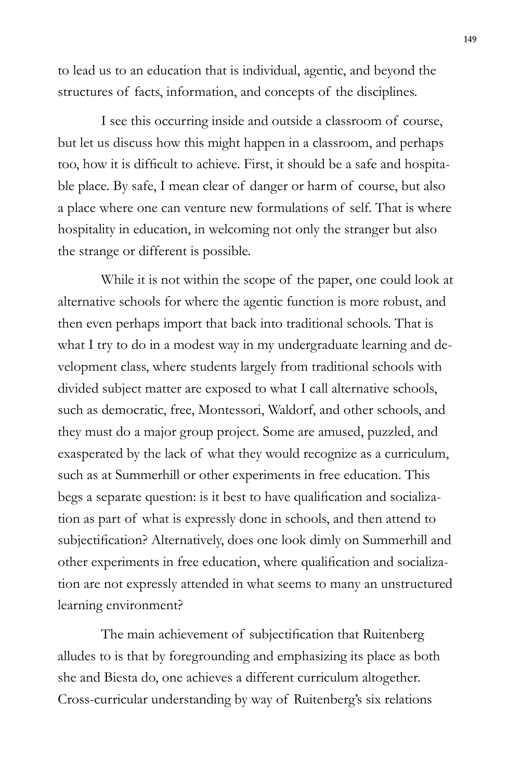to lead us to an education that is individual, agentic, and beyond the structures of facts, information, and concepts of the disciplines.

I see this occurring inside and outside a classroom of course, but let us discuss how this might happen in a classroom, and perhaps too, how it is difficult to achieve. First, it should be a safe and hospitable place. By safe, I mean clear of danger or harm of course, but also a place where one can venture new formulations of self. That is where hospitality in education, in welcoming not only the stranger but also the strange or different is possible.

While it is not within the scope of the paper, one could look at alternative schools for where the agentic function is more robust, and then even perhaps import that back into traditional schools. That is what I try to do in a modest way in my undergraduate learning and development class, where students largely from traditional schools with divided subject matter are exposed to what I call alternative schools, such as democratic, free, Montessori, Waldorf, and other schools, and they must do a major group project. Some are amused, puzzled, and exasperated by the lack of what they would recognize as a curriculum, such as at Summerhill or other experiments in free education. This begs a separate question: is it best to have qualification and socialization as part of what is expressly done in schools, and then attend to subjectification? Alternatively, does one look dimly on Summerhill and other experiments in free education, where qualification and socialization are not expressly attended in what seems to many an unstructured learning environment?

The main achievement of subjectification that Ruitenberg alludes to is that by foregrounding and emphasizing its place as both she and Biesta do, one achieves a different curriculum altogether. Cross-curricular understanding by way of Ruitenberg's six relations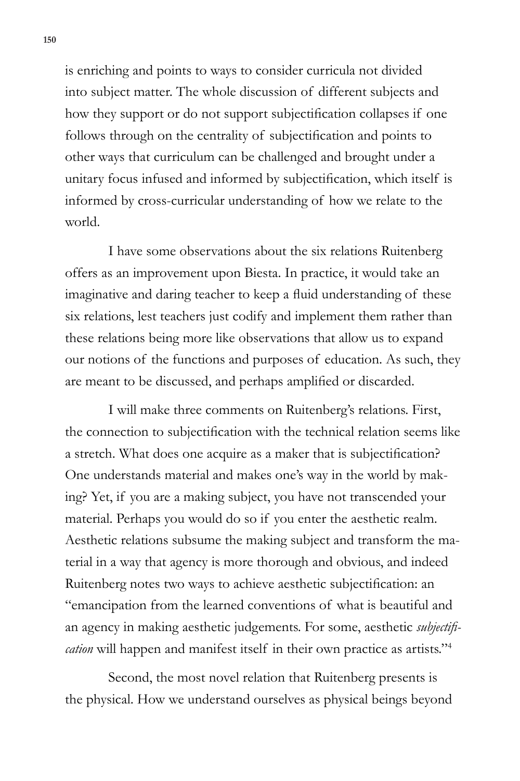is enriching and points to ways to consider curricula not divided into subject matter. The whole discussion of different subjects and how they support or do not support subjectification collapses if one follows through on the centrality of subjectification and points to other ways that curriculum can be challenged and brought under a unitary focus infused and informed by subjectification, which itself is informed by cross-curricular understanding of how we relate to the world.

I have some observations about the six relations Ruitenberg offers as an improvement upon Biesta. In practice, it would take an imaginative and daring teacher to keep a fluid understanding of these six relations, lest teachers just codify and implement them rather than these relations being more like observations that allow us to expand our notions of the functions and purposes of education. As such, they are meant to be discussed, and perhaps amplified or discarded.

I will make three comments on Ruitenberg's relations. First, the connection to subjectification with the technical relation seems like a stretch. What does one acquire as a maker that is subjectification? One understands material and makes one's way in the world by making? Yet, if you are a making subject, you have not transcended your material. Perhaps you would do so if you enter the aesthetic realm. Aesthetic relations subsume the making subject and transform the material in a way that agency is more thorough and obvious, and indeed Ruitenberg notes two ways to achieve aesthetic subjectification: an "emancipation from the learned conventions of what is beautiful and an agency in making aesthetic judgements. For some, aesthetic *subjectification* will happen and manifest itself in their own practice as artists."<sup>4</sup>

Second, the most novel relation that Ruitenberg presents is the physical. How we understand ourselves as physical beings beyond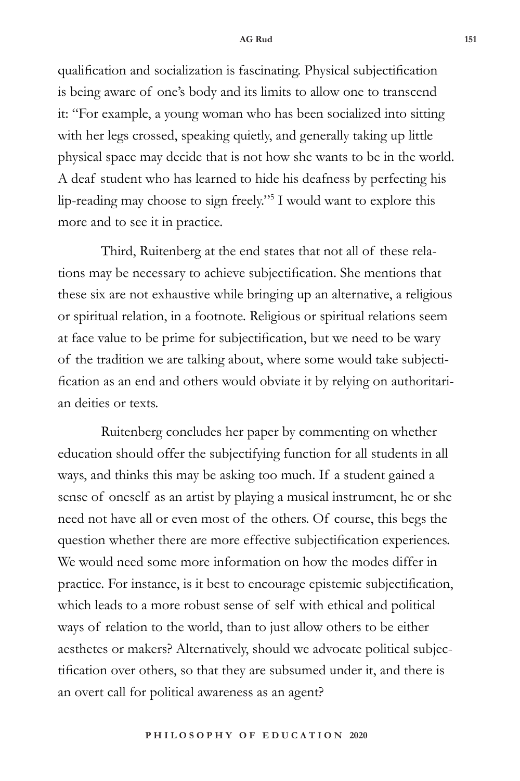## **AG Rud 151**

qualification and socialization is fascinating. Physical subjectification is being aware of one's body and its limits to allow one to transcend it: "For example, a young woman who has been socialized into sitting with her legs crossed, speaking quietly, and generally taking up little physical space may decide that is not how she wants to be in the world. A deaf student who has learned to hide his deafness by perfecting his lip-reading may choose to sign freely."<sup>5</sup> I would want to explore this more and to see it in practice.

Third, Ruitenberg at the end states that not all of these relations may be necessary to achieve subjectification. She mentions that these six are not exhaustive while bringing up an alternative, a religious or spiritual relation, in a footnote. Religious or spiritual relations seem at face value to be prime for subjectification, but we need to be wary of the tradition we are talking about, where some would take subjectification as an end and others would obviate it by relying on authoritarian deities or texts.

Ruitenberg concludes her paper by commenting on whether education should offer the subjectifying function for all students in all ways, and thinks this may be asking too much. If a student gained a sense of oneself as an artist by playing a musical instrument, he or she need not have all or even most of the others. Of course, this begs the question whether there are more effective subjectification experiences. We would need some more information on how the modes differ in practice. For instance, is it best to encourage epistemic subjectification, which leads to a more robust sense of self with ethical and political ways of relation to the world, than to just allow others to be either aesthetes or makers? Alternatively, should we advocate political subjectification over others, so that they are subsumed under it, and there is an overt call for political awareness as an agent?